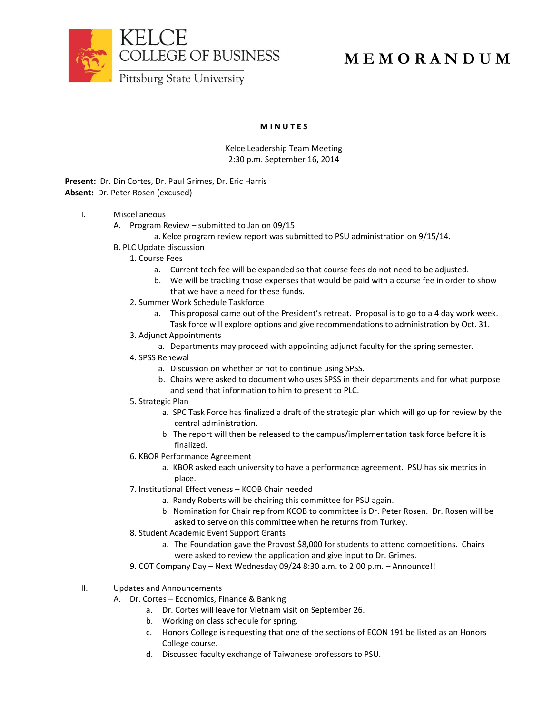

## **M E M O R A N D U M**

**M I N U T E S**

Kelce Leadership Team Meeting 2:30 p.m. September 16, 2014

**Present:** Dr. Din Cortes, Dr. Paul Grimes, Dr. Eric Harris **Absent:** Dr. Peter Rosen (excused)

- I. Miscellaneous
	- A. Program Review submitted to Jan on 09/15
		- a. Kelce program review report was submitted to PSU administration on 9/15/14.
	- B. PLC Update discussion
		- 1. Course Fees
			- a. Current tech fee will be expanded so that course fees do not need to be adjusted.
			- b. We will be tracking those expenses that would be paid with a course fee in order to show that we have a need for these funds.
		- 2. Summer Work Schedule Taskforce
			- a. This proposal came out of the President's retreat. Proposal is to go to a 4 day work week. Task force will explore options and give recommendations to administration by Oct. 31.
		- 3. Adjunct Appointments
			- a. Departments may proceed with appointing adjunct faculty for the spring semester.
		- 4. SPSS Renewal
			- a. Discussion on whether or not to continue using SPSS.
			- b. Chairs were asked to document who uses SPSS in their departments and for what purpose and send that information to him to present to PLC.
		- 5. Strategic Plan
			- a. SPC Task Force has finalized a draft of the strategic plan which will go up for review by the central administration.
			- b. The report will then be released to the campus/implementation task force before it is finalized.
		- 6. KBOR Performance Agreement
			- a. KBOR asked each university to have a performance agreement. PSU has six metrics in place.
		- 7. Institutional Effectiveness KCOB Chair needed
			- a. Randy Roberts will be chairing this committee for PSU again.
			- b. Nomination for Chair rep from KCOB to committee is Dr. Peter Rosen. Dr. Rosen will be asked to serve on this committee when he returns from Turkey.
		- 8. Student Academic Event Support Grants
			- a. The Foundation gave the Provost \$8,000 for students to attend competitions. Chairs were asked to review the application and give input to Dr. Grimes.
		- 9. COT Company Day Next Wednesday 09/24 8:30 a.m. to 2:00 p.m. Announce!!
- II. Updates and Announcements
	- A. Dr. Cortes Economics, Finance & Banking
		- a. Dr. Cortes will leave for Vietnam visit on September 26.
		- b. Working on class schedule for spring.
		- c. Honors College is requesting that one of the sections of ECON 191 be listed as an Honors College course.
		- d. Discussed faculty exchange of Taiwanese professors to PSU.